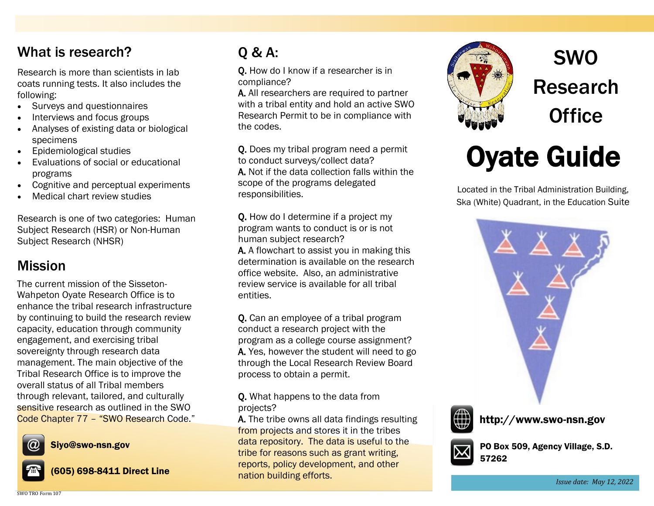### What is research?

Research is more than scientists in lab coats running tests. It also includes the following:

- Surveys and questionnaires
- Interviews and focus groups
- Analyses of existing data or biological specimens
- Epidemiological studies
- Evaluations of social or educational programs
- Cognitive and perceptual experiments
- Medical chart review studies

Research is one of two categories: Human Subject Research (HSR) or Non-Human Subject Research (NHSR)

#### Mission

The current mission of the Sisseton-Wahpeton Oyate Research Office is to enhance the tribal research infrastructure by continuing to build the research review capacity, education through community engagement, and exercising tribal sovereignty through research data management. The main objective of the Tribal Research Office is to improve the overall status of all Tribal members through relevant, tailored, and culturally sensitive research as outlined in the SWO Code Chapter 77 – "SWO Research Code."



Siyo@swo-nsn.gov





(605) 698-8411 Direct Line

# Q & A:

Q. How do I know if a researcher is in compliance?

A. All researchers are required to partner with a tribal entity and hold an active SWO Research Permit to be in compliance with the codes.

Q. Does my tribal program need a permit to conduct surveys/collect data? A. Not if the data collection falls within the scope of the programs delegated responsibilities.

Q. How do I determine if a project my program wants to conduct is or is not human subject research?

A. A flowchart to assist you in making this determination is available on the research office website. Also, an administrative review service is available for all tribal entities.

Q. Can an employee of a tribal program conduct a research project with the program as a college course assignment? A. Yes, however the student will need to go through the Local Research Review Board process to obtain a permit.

#### Q. What happens to the data from projects?

A. The tribe owns all data findings resulting from projects and stores it in the tribes data repository. The data is useful to the tribe for reasons such as grant writing, reports, policy development, and other nation building efforts.



SWO Research **Office** 

# Oyate Guide

Located in the Tribal Administration Building, Ska (White) Quadrant, in the Education Suite





http://www.swo-nsn.gov



PO Box 509, Agency Village, S.D. 57262